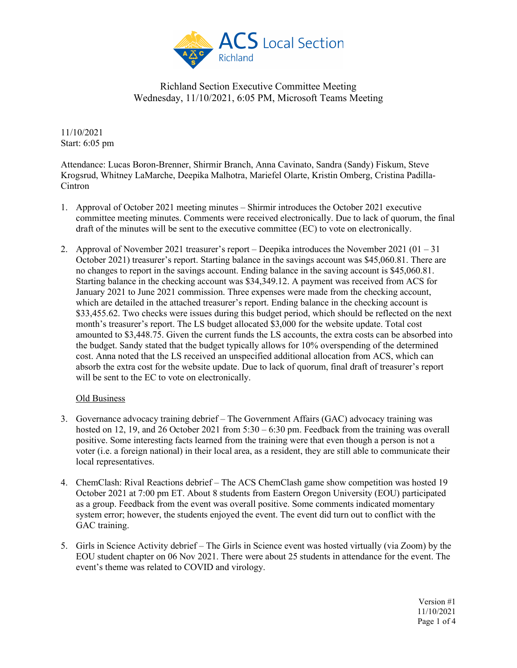

11/10/2021 Start: 6:05 pm

Attendance: Lucas Boron-Brenner, Shirmir Branch, Anna Cavinato, Sandra (Sandy) Fiskum, Steve Krogsrud, Whitney LaMarche, Deepika Malhotra, Mariefel Olarte, Kristin Omberg, Cristina Padilla-Cintron

- 1. Approval of October 2021 meeting minutes Shirmir introduces the October 2021 executive committee meeting minutes. Comments were received electronically. Due to lack of quorum, the final draft of the minutes will be sent to the executive committee (EC) to vote on electronically.
- 2. Approval of November 2021 treasurer's report Deepika introduces the November 2021 ( $01 31$ ) October 2021) treasurer's report. Starting balance in the savings account was \$45,060.81. There are no changes to report in the savings account. Ending balance in the saving account is \$45,060.81. Starting balance in the checking account was \$34,349.12. A payment was received from ACS for January 2021 to June 2021 commission. Three expenses were made from the checking account, which are detailed in the attached treasurer's report. Ending balance in the checking account is \$33,455.62. Two checks were issues during this budget period, which should be reflected on the next month's treasurer's report. The LS budget allocated \$3,000 for the website update. Total cost amounted to \$3,448.75. Given the current funds the LS accounts, the extra costs can be absorbed into the budget. Sandy stated that the budget typically allows for 10% overspending of the determined cost. Anna noted that the LS received an unspecified additional allocation from ACS, which can absorb the extra cost for the website update. Due to lack of quorum, final draft of treasurer's report will be sent to the EC to vote on electronically.

#### Old Business

- 3. Governance advocacy training debrief The Government Affairs (GAC) advocacy training was hosted on 12, 19, and 26 October 2021 from 5:30 – 6:30 pm. Feedback from the training was overall positive. Some interesting facts learned from the training were that even though a person is not a voter (i.e. a foreign national) in their local area, as a resident, they are still able to communicate their local representatives.
- 4. ChemClash: Rival Reactions debrief The ACS ChemClash game show competition was hosted 19 October 2021 at 7:00 pm ET. About 8 students from Eastern Oregon University (EOU) participated as a group. Feedback from the event was overall positive. Some comments indicated momentary system error; however, the students enjoyed the event. The event did turn out to conflict with the GAC training.
- 5. Girls in Science Activity debrief The Girls in Science event was hosted virtually (via Zoom) by the EOU student chapter on 06 Nov 2021. There were about 25 students in attendance for the event. The event's theme was related to COVID and virology.

Version #1 11/10/2021 Page 1 of 4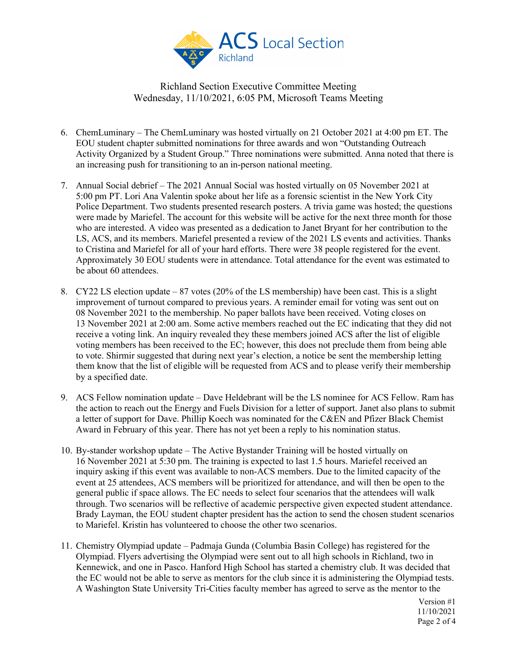

- 6. ChemLuminary The ChemLuminary was hosted virtually on 21 October 2021 at 4:00 pm ET. The EOU student chapter submitted nominations for three awards and won "Outstanding Outreach Activity Organized by a Student Group." Three nominations were submitted. Anna noted that there is an increasing push for transitioning to an in-person national meeting.
- 7. Annual Social debrief The 2021 Annual Social was hosted virtually on 05 November 2021 at 5:00 pm PT. Lori Ana Valentin spoke about her life as a forensic scientist in the New York City Police Department. Two students presented research posters. A trivia game was hosted; the questions were made by Mariefel. The account for this website will be active for the next three month for those who are interested. A video was presented as a dedication to Janet Bryant for her contribution to the LS, ACS, and its members. Mariefel presented a review of the 2021 LS events and activities. Thanks to Cristina and Mariefel for all of your hard efforts. There were 38 people registered for the event. Approximately 30 EOU students were in attendance. Total attendance for the event was estimated to be about 60 attendees.
- 8. CY22 LS election update 87 votes (20% of the LS membership) have been cast. This is a slight improvement of turnout compared to previous years. A reminder email for voting was sent out on 08 November 2021 to the membership. No paper ballots have been received. Voting closes on 13 November 2021 at 2:00 am. Some active members reached out the EC indicating that they did not receive a voting link. An inquiry revealed they these members joined ACS after the list of eligible voting members has been received to the EC; however, this does not preclude them from being able to vote. Shirmir suggested that during next year's election, a notice be sent the membership letting them know that the list of eligible will be requested from ACS and to please verify their membership by a specified date.
- 9. ACS Fellow nomination update Dave Heldebrant will be the LS nominee for ACS Fellow. Ram has the action to reach out the Energy and Fuels Division for a letter of support. Janet also plans to submit a letter of support for Dave. Phillip Koech was nominated for the C&EN and Pfizer Black Chemist Award in February of this year. There has not yet been a reply to his nomination status.
- 10. By-stander workshop update The Active Bystander Training will be hosted virtually on 16 November 2021 at 5:30 pm. The training is expected to last 1.5 hours. Mariefel received an inquiry asking if this event was available to non-ACS members. Due to the limited capacity of the event at 25 attendees, ACS members will be prioritized for attendance, and will then be open to the general public if space allows. The EC needs to select four scenarios that the attendees will walk through. Two scenarios will be reflective of academic perspective given expected student attendance. Brady Layman, the EOU student chapter president has the action to send the chosen student scenarios to Mariefel. Kristin has volunteered to choose the other two scenarios.
- 11. Chemistry Olympiad update Padmaja Gunda (Columbia Basin College) has registered for the Olympiad. Flyers advertising the Olympiad were sent out to all high schools in Richland, two in Kennewick, and one in Pasco. Hanford High School has started a chemistry club. It was decided that the EC would not be able to serve as mentors for the club since it is administering the Olympiad tests. A Washington State University Tri-Cities faculty member has agreed to serve as the mentor to the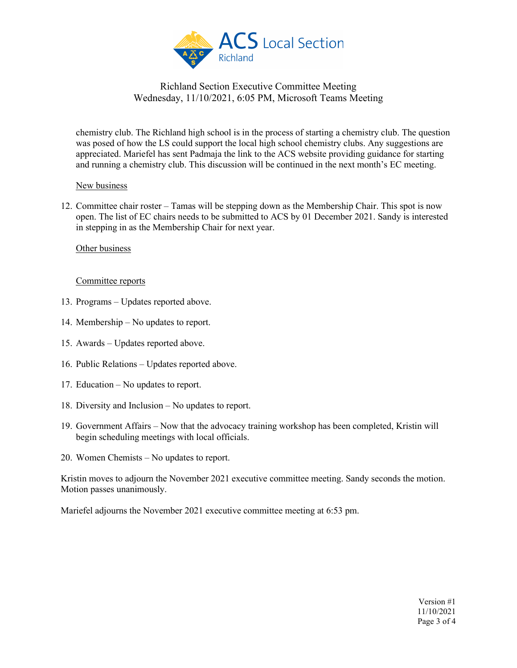

chemistry club. The Richland high school is in the process of starting a chemistry club. The question was posed of how the LS could support the local high school chemistry clubs. Any suggestions are appreciated. Mariefel has sent Padmaja the link to the ACS website providing guidance for starting and running a chemistry club. This discussion will be continued in the next month's EC meeting.

#### New business

12. Committee chair roster – Tamas will be stepping down as the Membership Chair. This spot is now open. The list of EC chairs needs to be submitted to ACS by 01 December 2021. Sandy is interested in stepping in as the Membership Chair for next year.

## Other business

## Committee reports

- 13. Programs Updates reported above.
- 14. Membership No updates to report.
- 15. Awards Updates reported above.
- 16. Public Relations Updates reported above.
- 17. Education No updates to report.
- 18. Diversity and Inclusion No updates to report.
- 19. Government Affairs Now that the advocacy training workshop has been completed, Kristin will begin scheduling meetings with local officials.
- 20. Women Chemists No updates to report.

Kristin moves to adjourn the November 2021 executive committee meeting. Sandy seconds the motion. Motion passes unanimously.

Mariefel adjourns the November 2021 executive committee meeting at 6:53 pm.